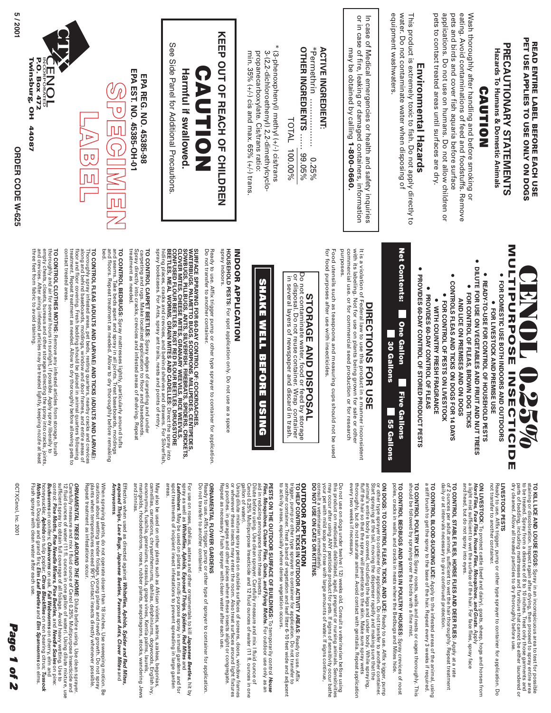

TO KILL LICE AND LOUSE EGGS: Spray in an inconspicuous area to test for possible<br>TO KILL LICE AND LOUSE EGGS: Spray in an inconspicuous area to test for possible<br>to be tread. Scolay from. a disect ago to 10 to 10 thing. Tr to be treated. Spray from a distance of 8 to 10 inches. Treat only those garments and staining or discoloration. Inspect again after drying, then proceed to spray entire area **TO KILL LICE AND LOUSE EGGS:** dry cleaned. Allow all treated particles to dry thoroughly before use. parts of bedding, including mattresses and furniture that cannot be either laundered or Spray in an inconspicuous area to test for possible

Ready to use. Affix trigger, pump or other type sprayer to container for application. Dc<br>not transfer to another container. not transfer to another container. Ready to use. Affix trigger, pump or other type sprayer to container for application. Do

To protect cattle (beef and dairy), goats, sheep, hogs and horses from **Horn Flies, Face Flies, House Flies, Mosquitoes, and Gnats.** ON LIVESTOCK: To protect cattle (beef and dairy), goats, sheep, hogs and horses from<br>a light mist sufficient to wee the sus, Mosquitoes, and Gnats. Apply<br>a light mist sufficient to wee the sus, word intending and Gnats. Ap a light mist sufficient to wet the surface of the hair. For face flies, spray face

of 2 ounces per adult animal, sufficient to wet the hair thorred in the station of the particle of the station necessary to give continued protection. TO CONTROL STABLE FLIES, HORSE FLIES AND DEER FLIES: Apply at a rate<br>of 2 ounces per adult animal, sufficient to wet the hair thoroughly. Repeat treatment<br>of 2 ounces per adult animal, sufficient to wet the hair thoroughly **TO CONTROL STABLE FLIES, HORSE FLIES AND DEER FLIES:** daily or at intervals necessary to give continued protection. of 2 ounces per adult animal, sufficient to wet the hair thoroughly. Repeat treatment Apply at a rate

TO CONTROL BLOOD-SUCKING LICE: Apply to the infested areas of the animal, using<br>a stiff brush to get the spray to the base of the hair. Repeat every 3 weeks if required. **TO CONTROL BLOOD-SUCKING LICE:** a stiff brush to get the spray to the base of the hair. Repeat every 3 weeks if required. Apply to the infested areas of the animal, using

TO CONTROL POULTRY LICE: Spray roosts, walls and nests or cages thoroughly. This<br>should be followed by spraying over the birds with a fine mist. should be followed by spraying over the birds with a fine mist. **TO CONTROL POULTRY LICE:** Spray roosts, walls and nests or cages thoroughly. This

TO CONTROL BEDBUGS AND MITES IN POULTRY HOUSES: Spray crevices of roos<br>poles, cracks in walls, and cracks in nests where the Bedbugs and Mites hide. **TO CONTROL BEDBUGS AND MITES IN POULTRY HOUSES:**  poles, cracks in walls, and cracks in nests where the Bedbugs and Mites hide. Spray crevices of roost

Start spraying at the tail, moving the dispenser rapidly and making sure that the<br>Start spraying at the tail, moving the dispenser rapidly and making sure that the<br>fluft the hair so the spray will penetrate to the skin. Ma ON DOGS: TO CONTROL FLEAS, TICKS, AND LICE: Ready to use. Affix trigger, pump<br>or other type sprayer to container for application. Do not transfer to another container. every two weeks if necessary. thoroughly, but do not saturate animal. Avoid contact with genitalia. Repeat application fluff the hairs of the spray will penetrate to the skin.  $\mathbb N$  axes is the spray wets. Start spraying at the tail, moving the dispenser rapidly and making sure that the **ON DOGS: TO CONTROL FLEAS, TICKS, AND LICE:** animal's entire body is covered, including the legs and under body. While spraying, or other type sprayer to container for application. Do not transfer to another container. Ready to use. Affix trigger, pump

Do not use on dogs under twelve ( 12) weeks old. Consult a veterinarian before using<br>The many occur after using ANY pesticide product for pers. If signs of sensitivity occur bather with right of<br>may occur after using ANY p consult a veterinarian immediately. your pet with mild soap and rinse with large amounts of water. If signs continue, this product on medicated. debilitated, aged, pregnant or nursing animals. Sensitivities may occur after using ANY pesticide product for pets. If signs of sensitivity occur bathe Do not use on dogs under twelve ( 12) weeks old. Consult a veterinarian before using

**DO NOT USE ON CATS OR KITTENS.**

## **OUTDOOR APPLICATION**

**OUTDOOR APPLICATION**<br>The Compact State of the State Container for application. Do not transfer to transfer that the state of the state of the State Container for application. Do not transfer to another the State of Afger to activity areas, especially where dense vegetation occurs. to activity areas, especially where dense vegetation occurs. trigger, pump or other type sprayer to container for application. Do not transfer to **TO HELP CONTROL TICKS IN OUTDOOR ACTIVITY AREAS:** another container. Treat a band of vegetation and leaf litter 6-10 feet wide and adjacent Ready to use. Affix

**PESTS ON THE OUTDOOR SURFACE OF BUILDINGS:** To temporarily control **PESTS ON THE OUTDOOR SURFACE OF BUILDINGS:** To temporarily control House<br>First, Mosquitoss, Cluster First, Gnats, and Flying Morths. For outdoor use only as an<br>First, Mosquitoss, Cluster First, Gnats, and Flying Morths. F **Flies, Mosquitoes, Cluster Flies, Gnats, and Flying Moths.** For outdoor use only as an aid in reducing annoyance from these insects .

Cenol 0.25% Multipurpose Insecticide and 12 fluid ounces of water (11 fl. ounces in one Dilute before using. Use clean sprayer. Carefully measure and mix I fluid ounce of

Using dilute mixture spray pests on outside surfaces of screens, doors, window frames of sing dilute mixture spray pests on outside surfaces of screens, doors, window frames<br>on porches. in garages and other places where th on porches. in garages and other places where these insects alight or congregate. or wherever these insects may enter the room. Also treat surfaces around light fixtures Using dilute mixture spray pests on outside surfaces of screens, doors, window frames

### ORNAMENTAL FLOWER GARDENS **ORNAMENTAL FLOWER GARDENS**

Ready to use. Affix trigger, pump or other type of sprayer to container for application<br>Do not transfer to another container. Do not transfer to another container. Ready to use. Affix trigger, pump or other type of sprayer to container for application.

For use on roses, dahlias, asters and other ornamentals to kill **Japanese Beetles**, hit by **Whiteflies, Aphids, Exposed Thrips, Spiders, Red Mites** For use on roses, dahilas, asters and other ornamentals to kill **Japanese Beetles,** hit by<br>The management of the sead on plants as a multi-purpose spray in small gardens and for<br>Leafminers. May be used on plants as a multi **Leafminers**. May be used on plants as a multi-purpose spray in small gardens and for spot treatments of incipient insect infestations to prevent spreading in large garden

May also be used on other plants such as African violets, asters, azaleas, begonias,<br>encourance and a manifest property and also also allowed the state of a state of a state of a state of an anno<br>encommus, fuschia, geraniu eunonymus, fuschia, geraniums, crassula, grape vines, Kentia palms, laurels, camellias, carnations, chrysanthemums, dahlias, delphiniums, dogwoods, English ivy, marigolds, rhododendrons, roses, rubber plants, snapdragons, stocks, wandering Jews May also be used on other plants such as African violets, asters, azaleas, begonias,

Effective when used as directed against **Whiteflies, Aphids, Spider and Red Mites, exposed Thrips, Lace Bugs, Japanese Beetles, Pavement Ants, Clover Mites** Effective when used as directed against **Whiteflies, Aphids, Spider and Red Mites**<br>**exposed Thrips, Lace Bugs, Japanese Beetles, Pavement Ants, Clover Mites** and

When spraying plants, do not operate closer than 18 inches. Use sweeping motion.<br>Plants when temperatures exerced 90°F, Contact insets directly whenever postaginal<br>plants when temperatures exerced 90°F. Contact insets dire cautious about wetting tender foliage, young plants and new0 growth. Do not spray When spraying plants, do not operate closer than 18 inches. Use sweeping motion. Be Repeat treatment as infestations occur. plants when temperatures exceed 90 F. Contact insects directly whenever possible.  $\mathbb{R}$ 

**ORNAMENTAL TREES AROUND THE HOME:** Dilute before using. Use clean sprayer. sufficient spray to obtain full coverage of all foliage. Avoid heavy wetting. Use to 12 fluid ounces of water (11 fl. ounces in one gallon of water). Using dilute mixture, use Carefully measure and mix I fluid ounce of Cenol 0.25% Multipurpose Insecticide and **Pine Moths, Pine Needle Miners, Pine Beetles**, and **Needle Scales** on pine: **Oakworms** on oak. **Fall Webworms** on cherry, elm and on tulip poplar; **Citrus Blackflies** on non bearing citrus; **Tussock**  on Douglas and grand firs**; Elm Leaf Beetles** and **Elm Spanworms** on elms.

Page **Page 1 of 2** 1 of 2